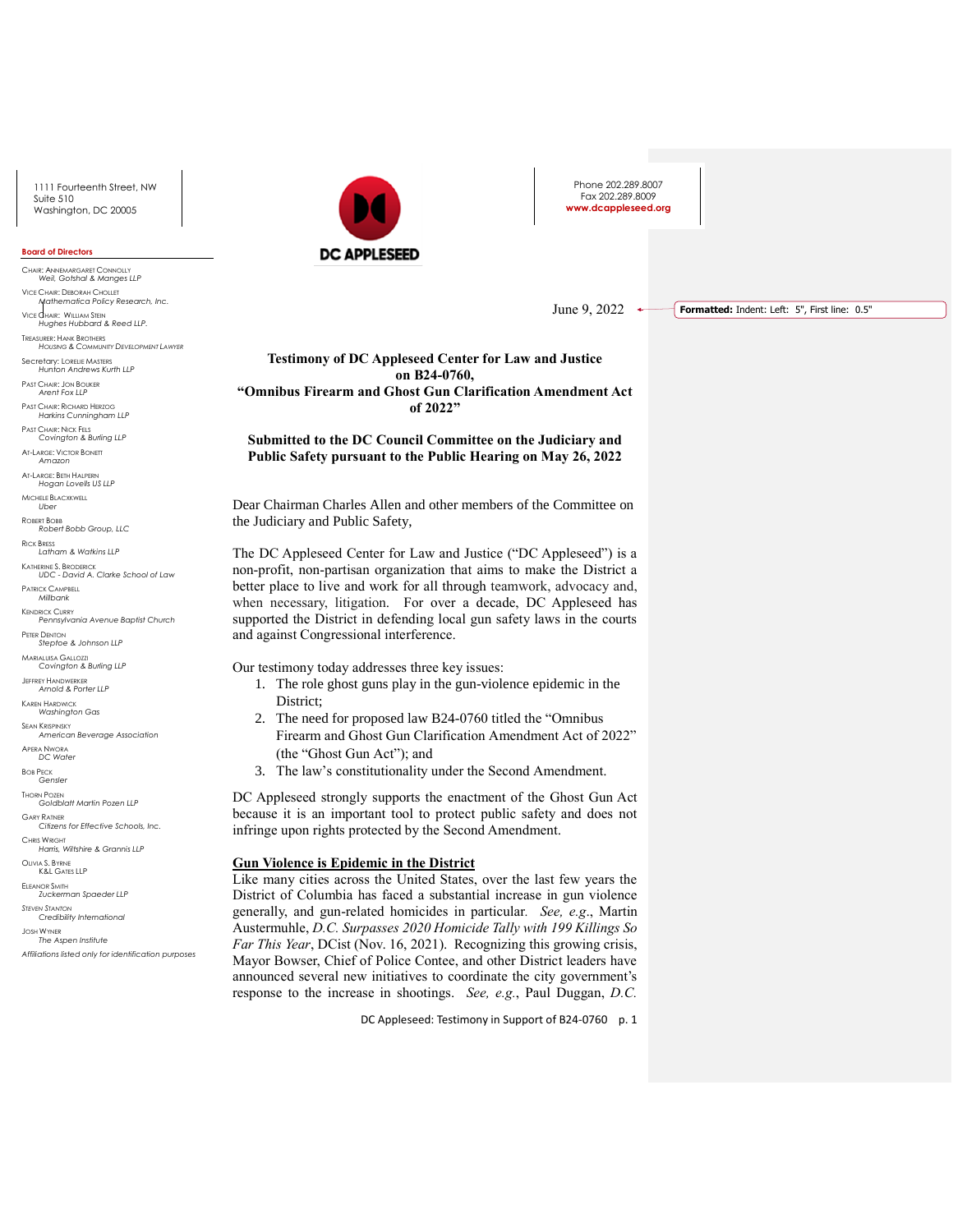#### **Board of Directors**

CHAIR: ANNEMARGARET CONNOLLY *Weil, Gotshal & Manges LLP* VICE CHAIR: DEBORAH CHOLLET *Mathematica Policy Research, Inc.* VICE CHAIR: WILLIAM STEIN *Hughes Hubbard & Reed LLP.* TREASURER: HANK BROTHERS *HOUSING & COMMUNITY DEVELOPMENT LAWYER* Secretary: LORELIE MASTERS *Hunton Andrews Kurth LLP* PAST CHAIR: JON BOUKER *Arent Fox LLP* PAST CHAIR: RICHARD HERZOG *Harkins Cunningham LLP* PAST CHAIR: NICK FELS *Covington & Burling LLP* AT-LARGE: VICTOR BONETT *Amazon*

AT-LARGE: BETH HALPERN *Hogan Lovells US LLP*

MICHELE BLACXKWELL *Uber*

ROBERT BOBB *Robert Bobb Group, LLC*

RICK BRESS *Latham & Watkins LLP*

KATHERINE S. BRODERICK *UDC - David A. Clarke School of Law*

PATRICK CAMPBELL *Millbank*

KENDRICK CURRY *Pennsylvania Avenue Baptist Church*

#### PETER DENTON *Steptoe & Johnson LLP*

MARIALUISA GALLOZZI *Covington & Burling LLP*

JEFFREY HANDWERKER *Arnold & Porter LLP*

KAREN HARDWICK

*Washington Gas*

SEAN KRISPINSKY *American Beverage Association*

APERA NWORA *DC Water*

BOB PECK *Gensler*

THORN POZEN *Goldblatt Martin Pozen LLP*

GARY RATNER *Citizens for Effective Schools, Inc.*

CHRIS WRIGHT *Harris, Wiltshire & Grannis LLP*

OLIVIA S. BYRNE K&L GATES LLP

ELEANOR SMITH *Zuckerman Spaeder LLP STEVEN STANTON*

*Credibility International*

JOSH WYNER *The Aspen Institute Affiliations listed only for identification purposes*



Phone 202.289.8007 Fax 202.289.8009 **www.dcappleseed.org**

June 9, 2022  $\leftrightarrow$ **Formatted:** Indent: Left: 5", First line: 0.5"

**Testimony of DC Appleseed Center for Law and Justice on B24-0760, "Omnibus Firearm and Ghost Gun Clarification Amendment Act of 2022"**

**Submitted to the DC Council Committee on the Judiciary and Public Safety pursuant to the Public Hearing on May 26, 2022**

Dear Chairman Charles Allen and other members of the Committee on the Judiciary and Public Safety,

The DC Appleseed Center for Law and Justice ("DC Appleseed") is a non-profit, non-partisan organization that aims to make the District a better place to live and work for all through teamwork, advocacy and, when necessary, litigation. For over a decade, DC Appleseed has supported the District in defending local gun safety laws in the courts and against Congressional interference.

Our testimony today addresses three key issues:

- 1. The role ghost guns play in the gun-violence epidemic in the District;
- 2. The need for proposed law B24-0760 titled the "Omnibus Firearm and Ghost Gun Clarification Amendment Act of 2022" (the "Ghost Gun Act"); and
- 3. The law's constitutionality under the Second Amendment.

DC Appleseed strongly supports the enactment of the Ghost Gun Act because it is an important tool to protect public safety and does not infringe upon rights protected by the Second Amendment.

# **Gun Violence is Epidemic in the District**

Like many cities across the United States, over the last few years the District of Columbia has faced a substantial increase in gun violence generally, and gun-related homicides in particular*. See, e.g*., Martin Austermuhle, *D.C. Surpasses 2020 Homicide Tally with 199 Killings So Far This Year*, DCist (Nov. 16, 2021). Recognizing this growing crisis, Mayor Bowser, Chief of Police Contee, and other District leaders have announced several new initiatives to coordinate the city government's response to the increase in shootings. *See, e.g.*, Paul Duggan, *D.C.*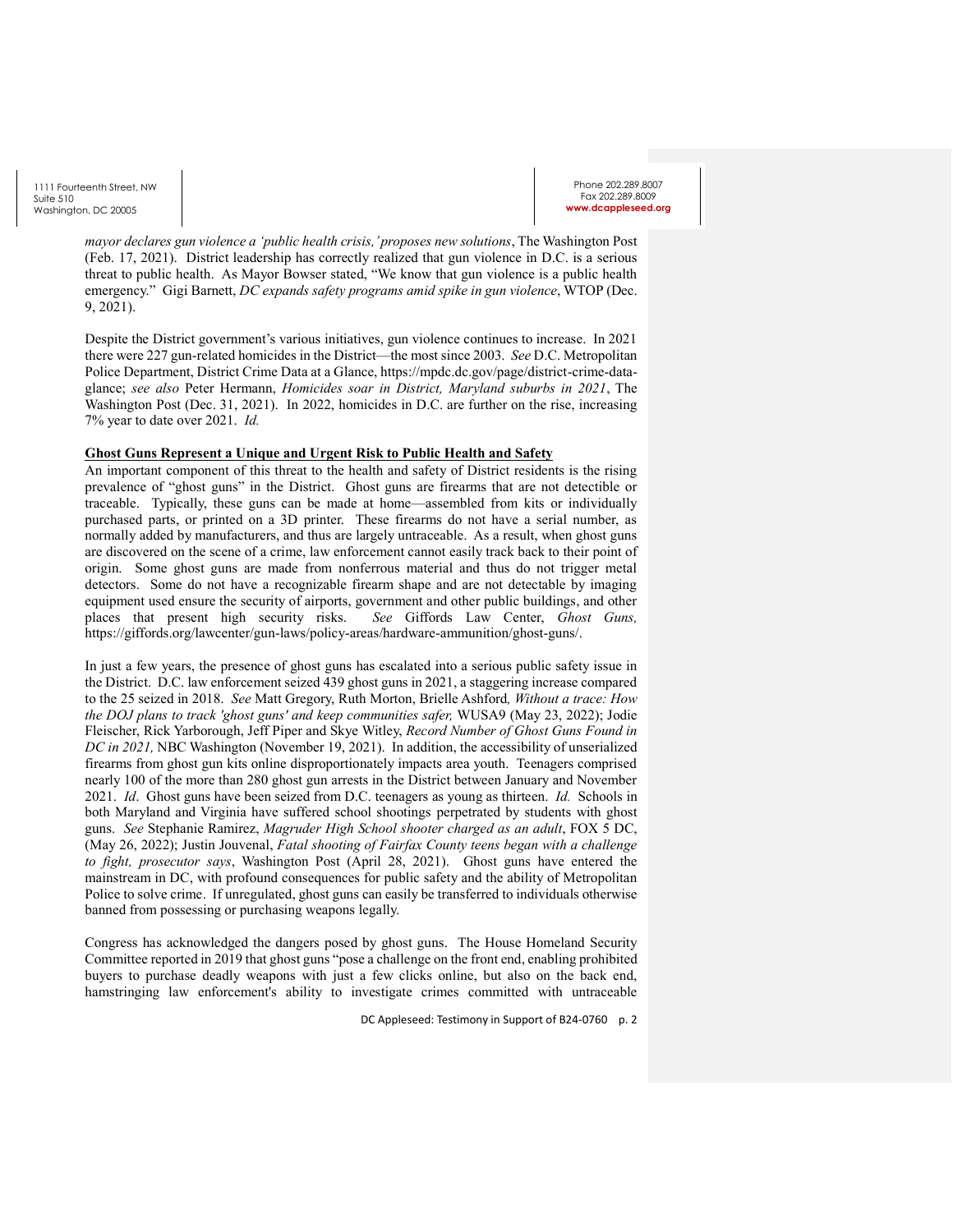Phone 202.289.8007 Fax 202.289.8009 w.dcappleseed.o

*mayor declares gun violence a 'public health crisis,' proposes new solutions*, The Washington Post (Feb. 17, 2021). District leadership has correctly realized that gun violence in D.C. is a serious threat to public health. As Mayor Bowser stated, "We know that gun violence is a public health emergency." Gigi Barnett, *DC expands safety programs amid spike in gun violence*, WTOP (Dec. 9, 2021).

Despite the District government's various initiatives, gun violence continues to increase. In 2021 there were 227 gun-related homicides in the District—the most since 2003. *See* D.C. Metropolitan Police Department, District Crime Data at a Glance, https://mpdc.dc.gov/page/district-crime-dataglance; *see also* Peter Hermann, *Homicides soar in District, Maryland suburbs in 2021*, The Washington Post (Dec. 31, 2021). In 2022, homicides in D.C. are further on the rise, increasing 7% year to date over 2021. *Id.*

## **Ghost Guns Represent a Unique and Urgent Risk to Public Health and Safety**

An important component of this threat to the health and safety of District residents is the rising prevalence of "ghost guns" in the District. Ghost guns are firearms that are not detectible or traceable. Typically, these guns can be made at home—assembled from kits or individually purchased parts, or printed on a 3D printer. These firearms do not have a serial number, as normally added by manufacturers, and thus are largely untraceable. As a result, when ghost guns are discovered on the scene of a crime, law enforcement cannot easily track back to their point of origin. Some ghost guns are made from nonferrous material and thus do not trigger metal detectors. Some do not have a recognizable firearm shape and are not detectable by imaging equipment used ensure the security of airports, government and other public buildings, and other places that present high security risks. *See* Giffords Law Center, *Ghost Guns,* https://giffords.org/lawcenter/gun-laws/policy-areas/hardware-ammunition/ghost-guns/.

In just a few years, the presence of ghost guns has escalated into a serious public safety issue in the District. D.C. law enforcement seized 439 ghost guns in 2021, a staggering increase compared to the 25 seized in 2018. *See* Matt Gregory, Ruth Morton, Brielle Ashford*, Without a trace: How the DOJ plans to track 'ghost guns' and keep communities safer,* WUSA9 (May 23, 2022); Jodie Fleischer, Rick Yarborough, Jeff Piper and Skye Witley, *Record Number of Ghost Guns Found in DC in 2021,* NBC Washington (November 19, 2021). In addition, the accessibility of unserialized firearms from ghost gun kits online disproportionately impacts area youth. Teenagers comprised nearly 100 of the more than 280 ghost gun arrests in the District between January and November 2021. *Id*. Ghost guns have been seized from D.C. teenagers as young as thirteen. *Id.* Schools in both Maryland and Virginia have suffered school shootings perpetrated by students with ghost guns. *See* Stephanie Ramirez, *Magruder High School shooter charged as an adult*, FOX 5 DC, (May 26, 2022); Justin Jouvenal, *Fatal shooting of Fairfax County teens began with a challenge to fight, prosecutor says*, Washington Post (April 28, 2021). Ghost guns have entered the mainstream in DC, with profound consequences for public safety and the ability of Metropolitan Police to solve crime. If unregulated, ghost guns can easily be transferred to individuals otherwise banned from possessing or purchasing weapons legally.

Congress has acknowledged the dangers posed by ghost guns. The House Homeland Security Committee reported in 2019 that ghost guns "pose a challenge on the front end, enabling prohibited buyers to purchase deadly weapons with just a few clicks online, but also on the back end, hamstringing law enforcement's ability to investigate crimes committed with untraceable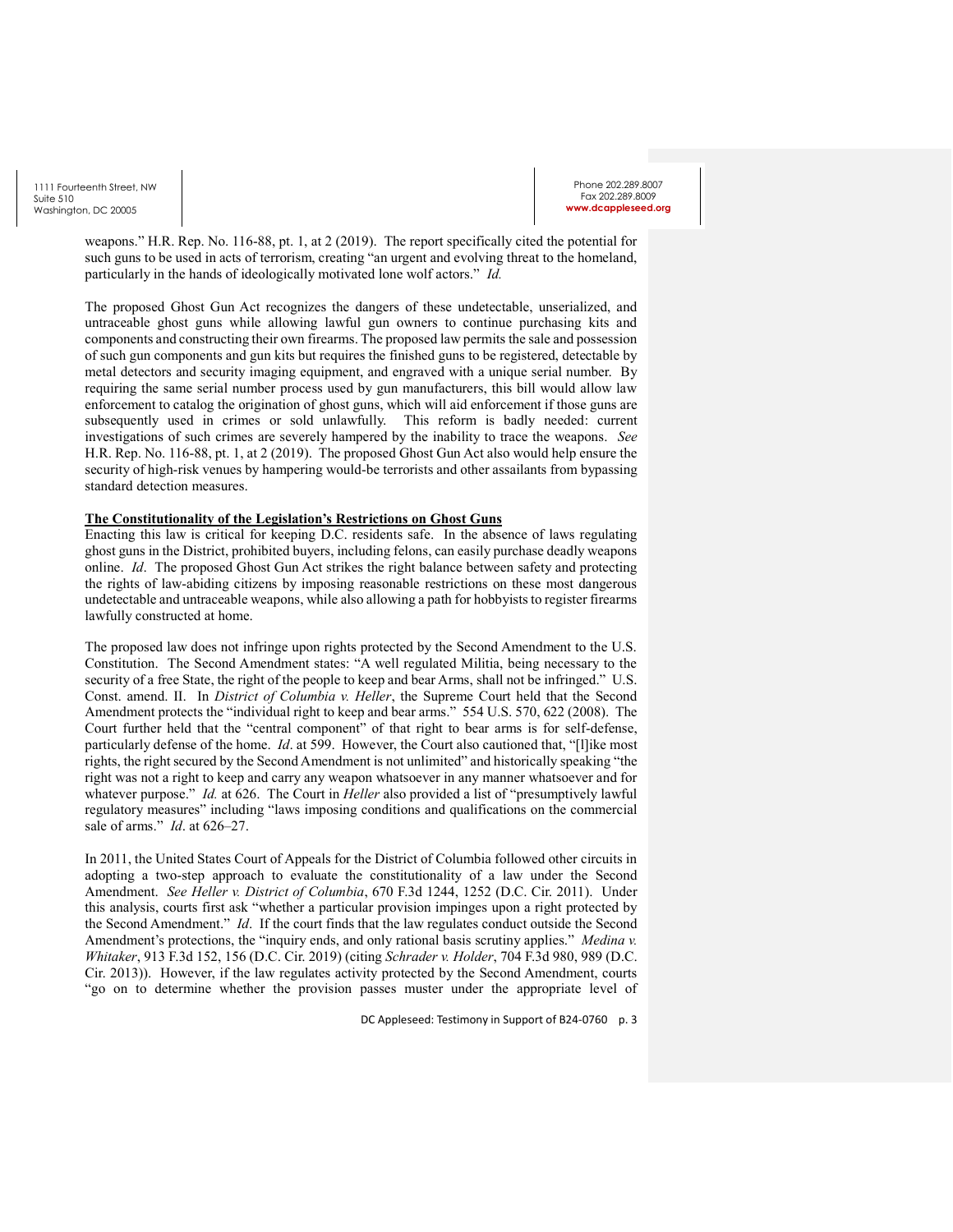weapons." H.R. Rep. No. 116-88, pt. 1, at 2 (2019). The report specifically cited the potential for such guns to be used in acts of terrorism, creating "an urgent and evolving threat to the homeland, particularly in the hands of ideologically motivated lone wolf actors." *Id.*

The proposed Ghost Gun Act recognizes the dangers of these undetectable, unserialized, and untraceable ghost guns while allowing lawful gun owners to continue purchasing kits and components and constructing their own firearms. The proposed law permits the sale and possession of such gun components and gun kits but requires the finished guns to be registered, detectable by metal detectors and security imaging equipment, and engraved with a unique serial number. By requiring the same serial number process used by gun manufacturers, this bill would allow law enforcement to catalog the origination of ghost guns, which will aid enforcement if those guns are subsequently used in crimes or sold unlawfully. This reform is badly needed: current investigations of such crimes are severely hampered by the inability to trace the weapons. *See* H.R. Rep. No. 116-88, pt. 1, at 2 (2019). The proposed Ghost Gun Act also would help ensure the security of high-risk venues by hampering would-be terrorists and other assailants from bypassing standard detection measures.

### **The Constitutionality of the Legislation's Restrictions on Ghost Guns**

Enacting this law is critical for keeping D.C. residents safe. In the absence of laws regulating ghost guns in the District, prohibited buyers, including felons, can easily purchase deadly weapons online. *Id*. The proposed Ghost Gun Act strikes the right balance between safety and protecting the rights of law-abiding citizens by imposing reasonable restrictions on these most dangerous undetectable and untraceable weapons, while also allowing a path for hobbyists to register firearms lawfully constructed at home.

The proposed law does not infringe upon rights protected by the Second Amendment to the U.S. Constitution. The Second Amendment states: "A well regulated Militia, being necessary to the security of a free State, the right of the people to keep and bear Arms, shall not be infringed." U.S. Const. amend. II. In *District of Columbia v. Heller*, the Supreme Court held that the Second Amendment protects the "individual right to keep and bear arms." 554 U.S. 570, 622 (2008). The Court further held that the "central component" of that right to bear arms is for self-defense, particularly defense of the home. *Id.* at 599. However, the Court also cautioned that, "[I]ike most rights, the right secured by the Second Amendment is not unlimited" and historically speaking "the right was not a right to keep and carry any weapon whatsoever in any manner whatsoever and for whatever purpose." *Id.* at 626. The Court in *Heller* also provided a list of "presumptively lawful regulatory measures" including "laws imposing conditions and qualifications on the commercial sale of arms." *Id*. at 626–27.

In 2011, the United States Court of Appeals for the District of Columbia followed other circuits in adopting a two-step approach to evaluate the constitutionality of a law under the Second Amendment. *See Heller v. District of Columbia*, 670 F.3d 1244, 1252 (D.C. Cir. 2011). Under this analysis, courts first ask "whether a particular provision impinges upon a right protected by the Second Amendment." *Id*. If the court finds that the law regulates conduct outside the Second Amendment's protections, the "inquiry ends, and only rational basis scrutiny applies." *Medina v. Whitaker*, 913 F.3d 152, 156 (D.C. Cir. 2019) (citing *Schrader v. Holder*, 704 F.3d 980, 989 (D.C. Cir. 2013)). However, if the law regulates activity protected by the Second Amendment, courts "go on to determine whether the provision passes muster under the appropriate level of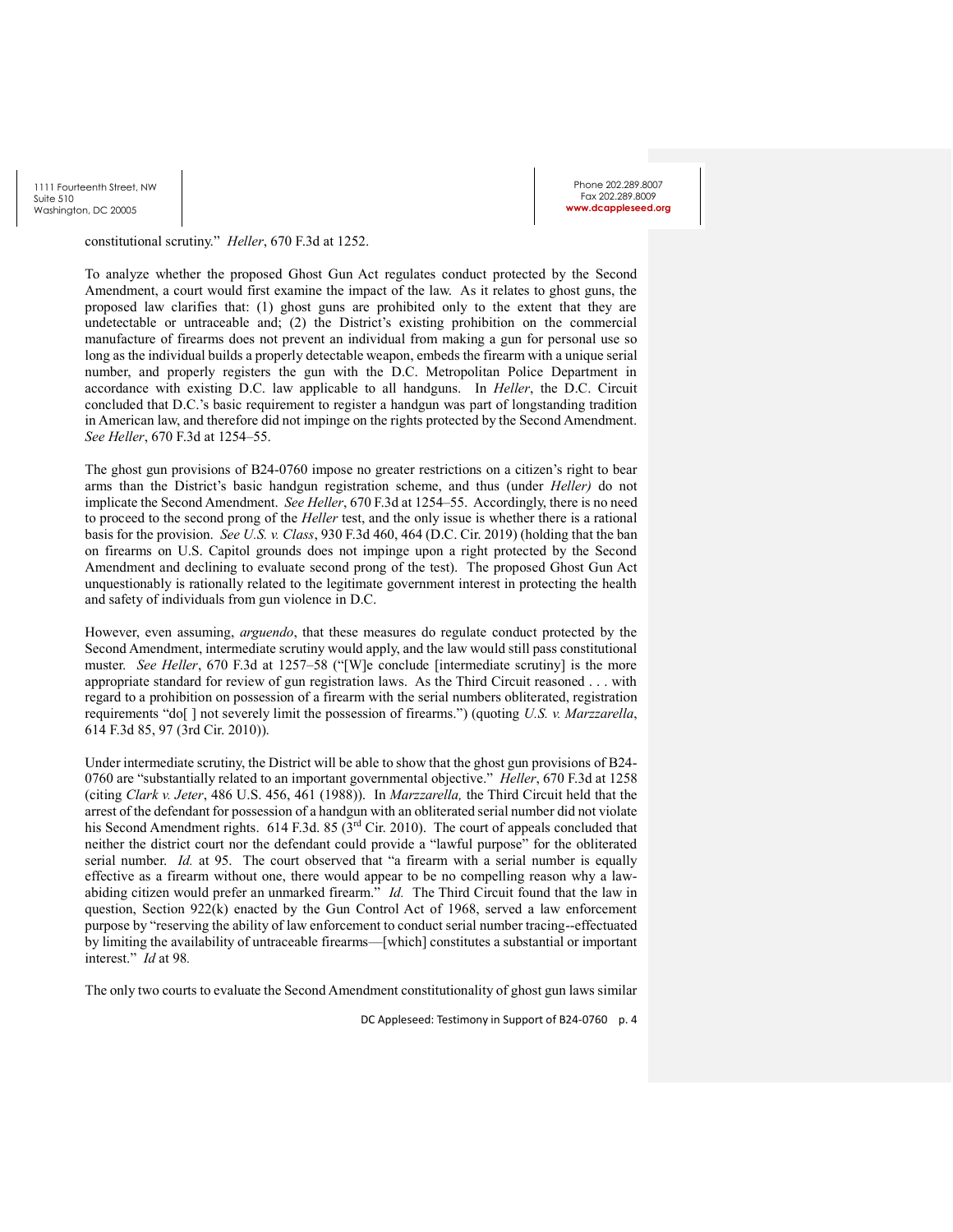Phone 202.289.8007 Fax 202.289.8009 w.dcappleseed.o

constitutional scrutiny." *Heller*, 670 F.3d at 1252.

To analyze whether the proposed Ghost Gun Act regulates conduct protected by the Second Amendment, a court would first examine the impact of the law. As it relates to ghost guns, the proposed law clarifies that: (1) ghost guns are prohibited only to the extent that they are undetectable or untraceable and; (2) the District's existing prohibition on the commercial manufacture of firearms does not prevent an individual from making a gun for personal use so long as the individual builds a properly detectable weapon, embeds the firearm with a unique serial number, and properly registers the gun with the D.C. Metropolitan Police Department in accordance with existing D.C. law applicable to all handguns. In *Heller*, the D.C. Circuit concluded that D.C.'s basic requirement to register a handgun was part of longstanding tradition in American law, and therefore did not impinge on the rights protected by the Second Amendment. *See Heller*, 670 F.3d at 1254–55.

The ghost gun provisions of B24-0760 impose no greater restrictions on a citizen's right to bear arms than the District's basic handgun registration scheme, and thus (under *Heller)* do not implicate the Second Amendment. *See Heller*, 670 F.3d at 1254–55. Accordingly, there is no need to proceed to the second prong of the *Heller* test, and the only issue is whether there is a rational basis for the provision. *See U.S. v. Class*, 930 F.3d 460, 464 (D.C. Cir. 2019) (holding that the ban on firearms on U.S. Capitol grounds does not impinge upon a right protected by the Second Amendment and declining to evaluate second prong of the test). The proposed Ghost Gun Act unquestionably is rationally related to the legitimate government interest in protecting the health and safety of individuals from gun violence in D.C.

However, even assuming, *arguendo*, that these measures do regulate conduct protected by the Second Amendment, intermediate scrutiny would apply, and the law would still pass constitutional muster. *See Heller*, 670 F.3d at 1257–58 ("[W]e conclude [intermediate scrutiny] is the more appropriate standard for review of gun registration laws. As the Third Circuit reasoned . . . with regard to a prohibition on possession of a firearm with the serial numbers obliterated, registration requirements "do[ ] not severely limit the possession of firearms.") (quoting *U.S. v. Marzzarella*, 614 F.3d 85, 97 (3rd Cir. 2010)).

Under intermediate scrutiny, the District will be able to show that the ghost gun provisions of B24- 0760 are "substantially related to an important governmental objective." *Heller*, 670 F.3d at 1258 (citing *Clark v. Jeter*, 486 U.S. 456, 461 (1988)). In *Marzzarella,* the Third Circuit held that the arrest of the defendant for possession of a handgun with an obliterated serial number did not violate his Second Amendment rights. 614 F.3d. 85 (3<sup>rd</sup> Cir. 2010). The court of appeals concluded that neither the district court nor the defendant could provide a "lawful purpose" for the obliterated serial number. *Id.* at 95. The court observed that "a firearm with a serial number is equally effective as a firearm without one, there would appear to be no compelling reason why a lawabiding citizen would prefer an unmarked firearm." *Id.* The Third Circuit found that the law in question, Section  $922(k)$  enacted by the Gun Control Act of 1968, served a law enforcement purpose by "reserving the ability of law enforcement to conduct serial number tracing--effectuated by limiting the availability of untraceable firearms—[which] constitutes a substantial or important interest." *Id* at 98*.*

The only two courts to evaluate the Second Amendment constitutionality of ghost gun laws similar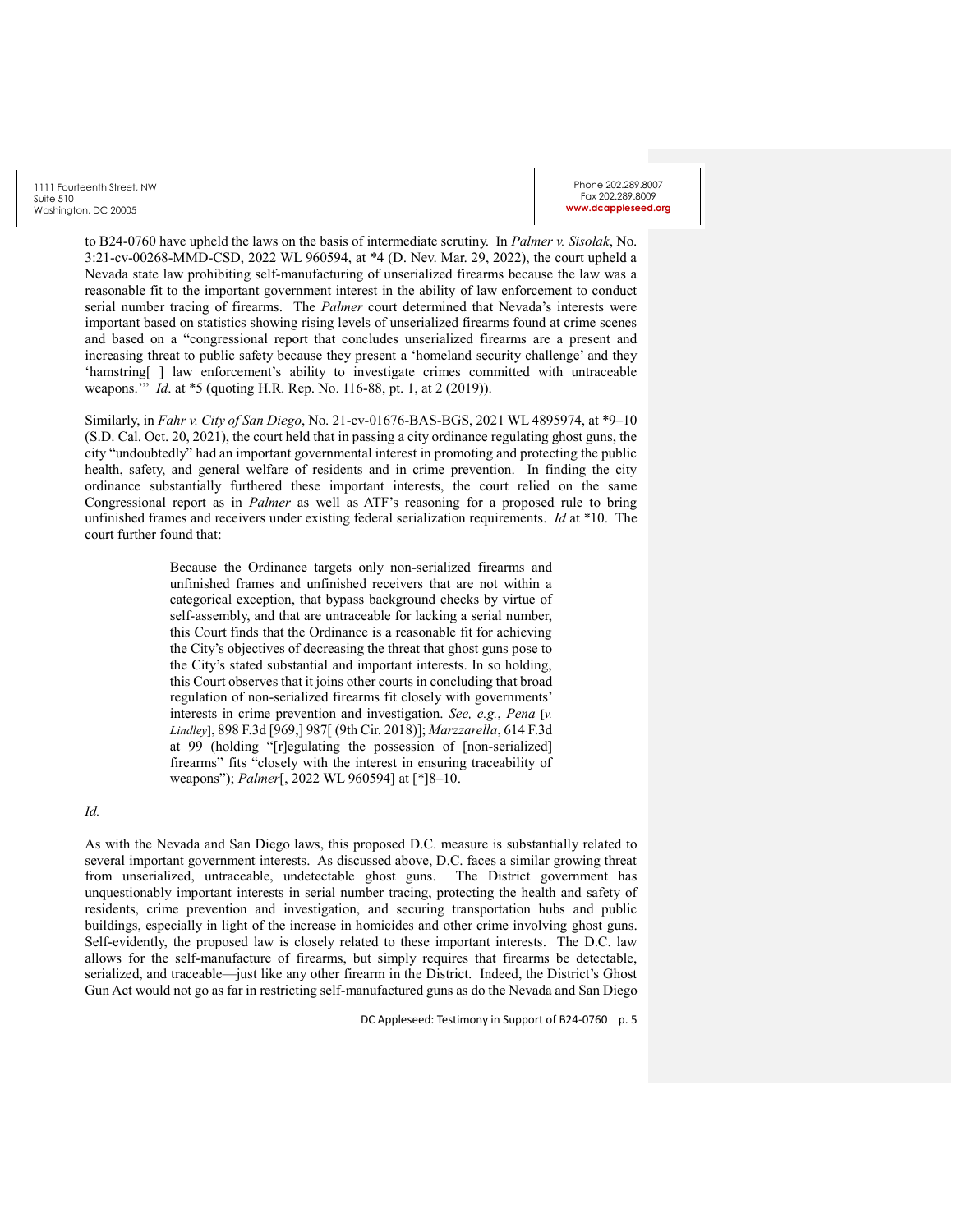to B24-0760 have upheld the laws on the basis of intermediate scrutiny. In *Palmer v. Sisolak*, No. 3:21-cv-00268-MMD-CSD, 2022 WL 960594, at \*4 (D. Nev. Mar. 29, 2022), the court upheld a Nevada state law prohibiting self-manufacturing of unserialized firearms because the law was a reasonable fit to the important government interest in the ability of law enforcement to conduct serial number tracing of firearms. The *Palmer* court determined that Nevada's interests were important based on statistics showing rising levels of unserialized firearms found at crime scenes and based on a "congressional report that concludes unserialized firearms are a present and increasing threat to public safety because they present a 'homeland security challenge' and they 'hamstring[ ] law enforcement's ability to investigate crimes committed with untraceable weapons.'" *Id*. at \*5 (quoting H.R. Rep. No. 116-88, pt. 1, at 2 (2019)).

Similarly, in *Fahr v. City of San Diego*, No. 21-cv-01676-BAS-BGS, 2021 WL 4895974, at \*9–10 (S.D. Cal. Oct. 20, 2021), the court held that in passing a city ordinance regulating ghost guns, the city "undoubtedly" had an important governmental interest in promoting and protecting the public health, safety, and general welfare of residents and in crime prevention. In finding the city ordinance substantially furthered these important interests, the court relied on the same Congressional report as in *Palmer* as well as ATF's reasoning for a proposed rule to bring unfinished frames and receivers under existing federal serialization requirements. *Id* at \*10. The court further found that:

> Because the Ordinance targets only non-serialized firearms and unfinished frames and unfinished receivers that are not within a categorical exception, that bypass background checks by virtue of self-assembly, and that are untraceable for lacking a serial number, this Court finds that the Ordinance is a reasonable fit for achieving the City's objectives of decreasing the threat that ghost guns pose to the City's stated substantial and important interests. In so holding, this Court observes that it joins other courts in concluding that broad regulation of non-serialized firearms fit closely with governments' interests in crime prevention and investigation. *See, e.g.*, *Pena* [*v. Lindley*], 898 F.3d [969,] 987[ (9th Cir. 2018)]; *Marzzarella*, 614 F.3d at 99 (holding "[r]egulating the possession of [non-serialized] firearms" fits "closely with the interest in ensuring traceability of weapons"); *Palmer*[, 2022 WL 960594] at [\*]8–10.

## *Id.*

As with the Nevada and San Diego laws, this proposed D.C. measure is substantially related to several important government interests. As discussed above, D.C. faces a similar growing threat from unserialized, untraceable, undetectable ghost guns. The District government has unquestionably important interests in serial number tracing, protecting the health and safety of residents, crime prevention and investigation, and securing transportation hubs and public buildings, especially in light of the increase in homicides and other crime involving ghost guns. Self-evidently, the proposed law is closely related to these important interests. The D.C. law allows for the self-manufacture of firearms, but simply requires that firearms be detectable, serialized, and traceable—just like any other firearm in the District. Indeed, the District's Ghost Gun Act would not go as far in restricting self-manufactured guns as do the Nevada and San Diego